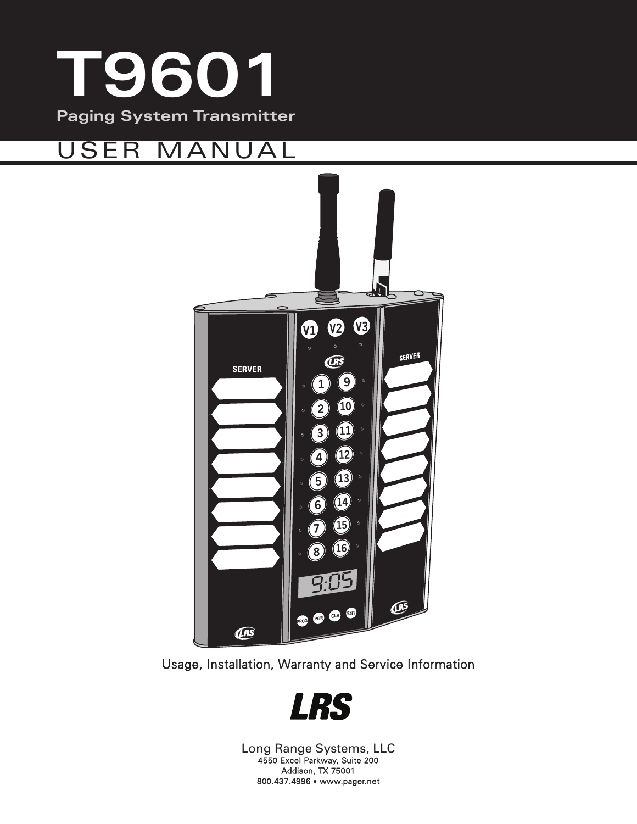

## USER MANUAL



Usage, Installation, Warranty and Service Information



Long Range Systems, LLC 4550 Excel Parkway, Suite 200 Addison, TX 75001 800.437.4996 • www.pager.net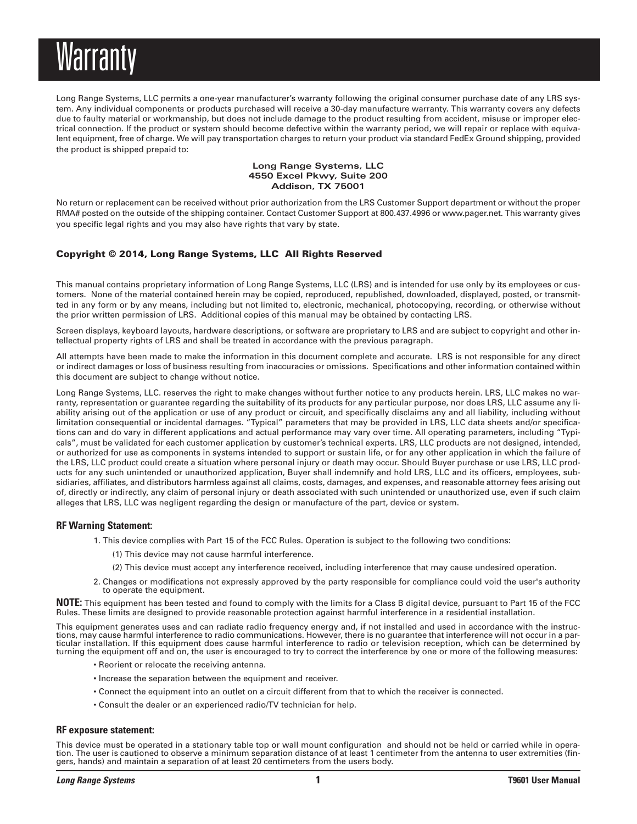## Warranty

Long Range Systems, LLC permits a one-year manufacturer's warranty following the original consumer purchase date of any LRS system. Any individual components or products purchased will receive a 30-day manufacture warranty. This warranty covers any defects due to faulty material or workmanship, but does not include damage to the product resulting from accident, misuse or improper electrical connection. If the product or system should become defective within the warranty period, we will repair or replace with equivalent equipment, free of charge. We will pay transportation charges to return your product via standard FedEx Ground shipping, provided the product is shipped prepaid to:

#### **Long Range Systems, LLC 4550 Excel Pkwy, Suite 200 Addison, TX 75001**

No return or replacement can be received without prior authorization from the LRS Customer Support department or without the proper RMA# posted on the outside of the shipping container. Contact Customer Support at 800.437.4996 or www.pager.net. This warranty gives you specific legal rights and you may also have rights that vary by state.

#### **Copyright © 2014, Long Range Systems, LLC All Rights Reserved**

This manual contains proprietary information of Long Range Systems, LLC (LRS) and is intended for use only by its employees or customers. None of the material contained herein may be copied, reproduced, republished, downloaded, displayed, posted, or transmitted in any form or by any means, including but not limited to, electronic, mechanical, photocopying, recording, or otherwise without the prior written permission of LRS. Additional copies of this manual may be obtained by contacting LRS.

Screen displays, keyboard layouts, hardware descriptions, or software are proprietary to LRS and are subject to copyright and other intellectual property rights of LRS and shall be treated in accordance with the previous paragraph.

All attempts have been made to make the information in this document complete and accurate. LRS is not responsible for any direct or indirect damages or loss of business resulting from inaccuracies or omissions. Specifications and other information contained within this document are subject to change without notice.

Long Range Systems, LLC. reserves the right to make changes without further notice to any products herein. LRS, LLC makes no warranty, representation or guarantee regarding the suitability of its products for any particular purpose, nor does LRS, LLC assume any liability arising out of the application or use of any product or circuit, and specifically disclaims any and all liability, including without limitation consequential or incidental damages. "Typical" parameters that may be provided in LRS, LLC data sheets and/or specifications can and do vary in different applications and actual performance may vary over time. All operating parameters, including "Typicals", must be validated for each customer application by customer's technical experts. LRS, LLC products are not designed, intended, or authorized for use as components in systems intended to support or sustain life, or for any other application in which the failure of the LRS, LLC product could create a situation where personal injury or death may occur. Should Buyer purchase or use LRS, LLC products for any such unintended or unauthorized application, Buyer shall indemnify and hold LRS, LLC and its officers, employees, subsidiaries, affiliates, and distributors harmless against all claims, costs, damages, and expenses, and reasonable attorney fees arising out of, directly or indirectly, any claim of personal injury or death associated with such unintended or unauthorized use, even if such claim alleges that LRS, LLC was negligent regarding the design or manufacture of the part, device or system.

#### **RF Warning Statement:**

- 1. This device complies with Part 15 of the FCC Rules. Operation is subject to the following two conditions:
	- (1) This device may not cause harmful interference.
	- (2) This device must accept any interference received, including interference that may cause undesired operation.
- 2. Changes or modifications not expressly approved by the party responsible for compliance could void the user's authority to operate the equipment.

**NOTE:** This equipment has been tested and found to comply with the limits for a Class B digital device, pursuant to Part 15 of the FCC Rules. These limits are designed to provide reasonable protection against harmful interference in a residential installation.

This equipment generates uses and can radiate radio frequency energy and, if not installed and used in accordance with the instructions, may cause harmful interference to radio communications. However, there is no guarantee that interference will not occur in a particular installation. If this equipment does cause harmful interference to radio or television reception, which can be determined by turning the equipment off and on, the user is encouraged to try to correct the interference by one or more of the following measures:

- Reorient or relocate the receiving antenna.
- Increase the separation between the equipment and receiver.
- Connect the equipment into an outlet on a circuit different from that to which the receiver is connected.
- Consult the dealer or an experienced radio/TV technician for help.

#### **RF exposure statement:**

This device must be operated in a stationary table top or wall mount configuration and should not be held or carried while in operation. The user is cautioned to observe a minimum separation distance of at least 1 centimeter from the antenna to user extremities (fingers, hands) and maintain a separation of at least 20 centimeters from the users body.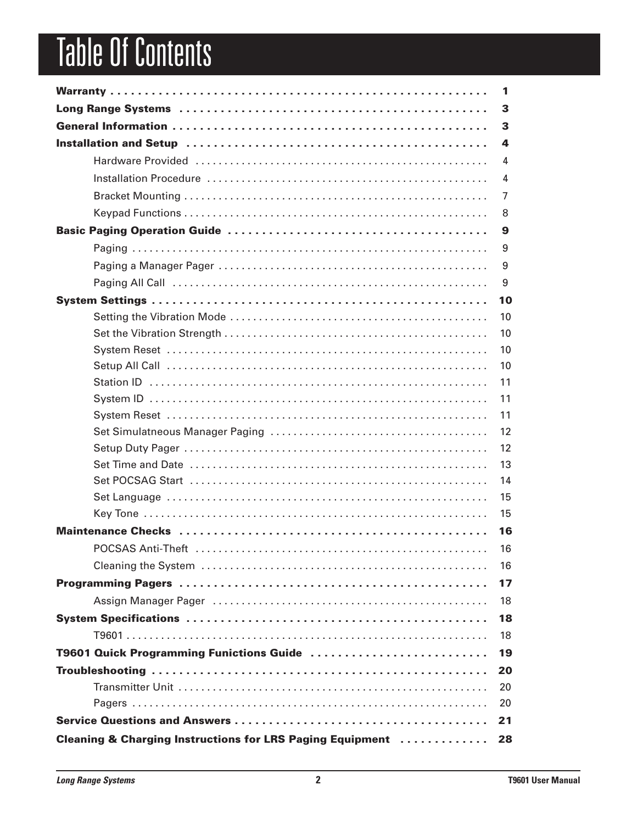# **Table Of Contents**

|                                                                       | 1              |
|-----------------------------------------------------------------------|----------------|
|                                                                       | 3              |
|                                                                       | 3              |
|                                                                       | 4              |
|                                                                       | 4              |
|                                                                       | $\overline{4}$ |
|                                                                       | $\overline{7}$ |
|                                                                       | 8              |
|                                                                       | 9              |
|                                                                       | 9              |
|                                                                       | 9              |
|                                                                       | 9              |
|                                                                       | 10             |
|                                                                       | 10             |
|                                                                       | 10             |
|                                                                       | 10             |
|                                                                       | 10             |
|                                                                       | 11             |
|                                                                       | 11             |
|                                                                       | 11             |
|                                                                       | 12             |
|                                                                       | 12             |
|                                                                       | 13             |
|                                                                       | 14             |
|                                                                       | 15             |
|                                                                       | 15             |
|                                                                       | 16             |
|                                                                       | 16             |
|                                                                       | 16             |
|                                                                       | 17             |
|                                                                       | 18             |
|                                                                       | 18             |
|                                                                       | 18             |
| T9601 Quick Programming Funictions Guide                              | 19             |
|                                                                       | 20             |
|                                                                       | 20             |
|                                                                       | 20             |
|                                                                       | 21             |
| <b>Cleaning &amp; Charging Instructions for LRS Paging Equipment </b> | 28             |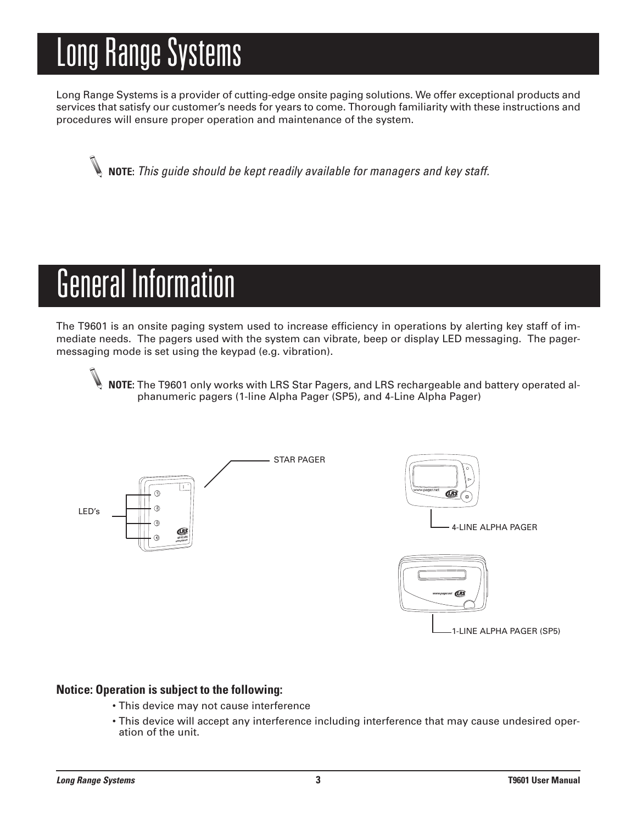# Long Range Systems

Long Range Systems is a provider of cutting-edge onsite paging solutions. We offer exceptional products and services that satisfy our customer's needs for years to come. Thorough familiarity with these instructions and procedures will ensure proper operation and maintenance of the system.

**NOTE:** *This guide should be kept readily available for managers and key staff.*

## General Information

The T9601 is an onsite paging system used to increase efficiency in operations by alerting key staff of immediate needs. The pagers used with the system can vibrate, beep or display LED messaging. The pagermessaging mode is set using the keypad (e.g. vibration).

**NOTE:** The T9601 only works with LRS Star Pagers, and LRS rechargeable and battery operated alphanumeric pagers (1-line Alpha Pager (SP5), and 4-Line Alpha Pager)



#### **Notice: Operation is subject to the following:**

- This device may not cause interference
- This device will accept any interference including interference that may cause undesired operation of the unit.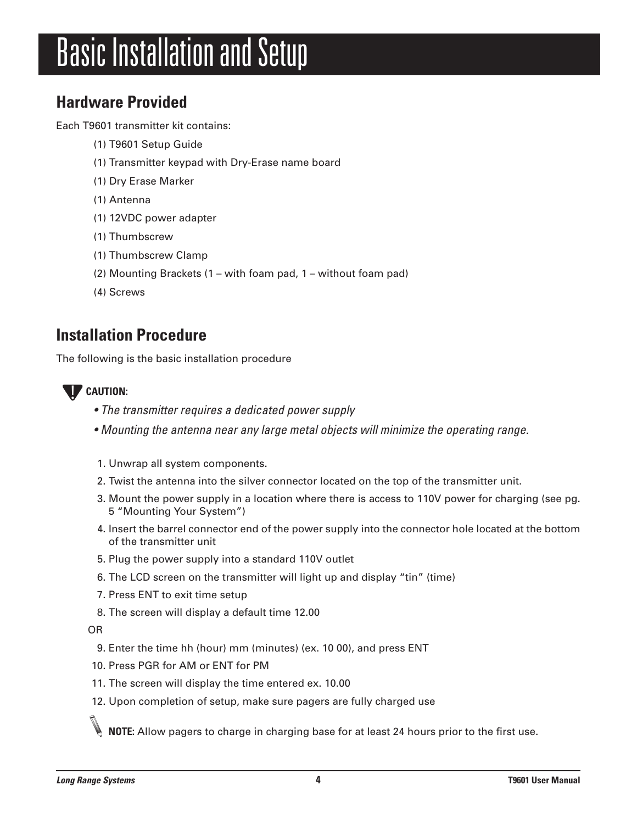## **Basic Installation and Setup**

## **Hardware Provided**

Each T9601 transmitter kit contains:

- (1) T9601 Setup Guide
- (1) Transmitter keypad with Dry-Erase name board
- (1) Dry Erase Marker
- (1) Antenna
- (1) 12VDC power adapter
- (1) Thumbscrew
- (1) Thumbscrew Clamp
- (2) Mounting Brackets (1 with foam pad, 1 without foam pad)
- (4) Screws

## **Installation Procedure**

The following is the basic installation procedure

#### **CAUTION:**  $[]$

- *• The transmitter requires a dedicated power supply*
- *• Mounting the antenna near any large metal objects will minimize the operating range.*
- 1. Unwrap all system components.
- 2. Twist the antenna into the silver connector located on the top of the transmitter unit.
- 3. Mount the power supply in a location where there is access to 110V power for charging (see pg. 5 "Mounting Your System")
- 4. Insert the barrel connector end of the power supply into the connector hole located at the bottom of the transmitter unit
- 5. Plug the power supply into a standard 110V outlet
- 6. The LCD screen on the transmitter will light up and display "tin" (time)
- 7. Press ENT to exit time setup
- 8. The screen will display a default time 12.00

OR

- 9. Enter the time hh (hour) mm (minutes) (ex. 10 00), and press ENT
- 10. Press PGR for AM or ENT for PM
- 11. The screen will display the time entered ex. 10.00
- 12. Upon completion of setup, make sure pagers are fully charged use

**NOTE:** Allow pagers to charge in charging base for at least 24 hours prior to the first use.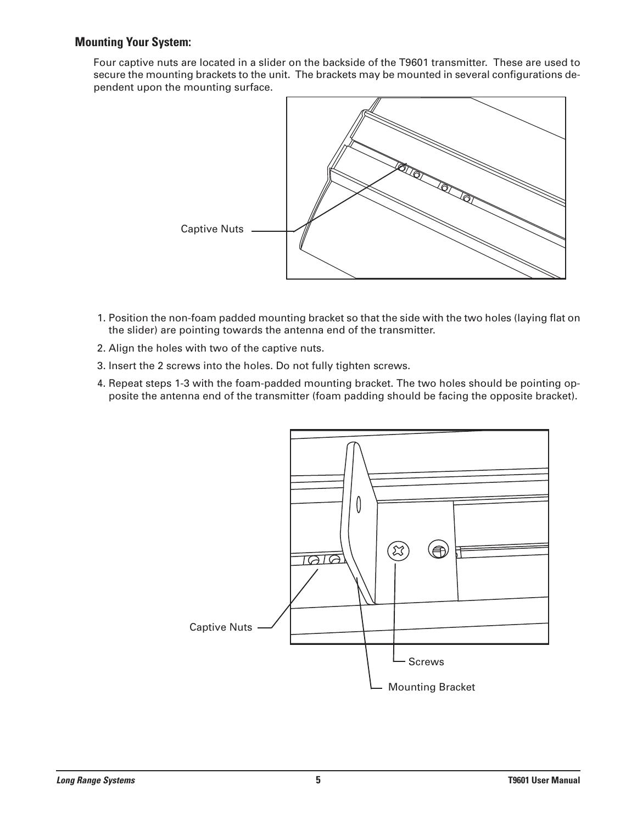#### **Mounting Your System:**

Four captive nuts are located in a slider on the backside of the T9601 transmitter. These are used to secure the mounting brackets to the unit. The brackets may be mounted in several configurations dependent upon the mounting surface.



- 1. Position the non-foam padded mounting bracket so that the side with the two holes (laying flat on the slider) are pointing towards the antenna end of the transmitter.
- 2. Align the holes with two of the captive nuts.
- 3. Insert the 2 screws into the holes. Do not fully tighten screws.
- 4. Repeat steps 1-3 with the foam-padded mounting bracket. The two holes should be pointing opposite the antenna end of the transmitter (foam padding should be facing the opposite bracket).

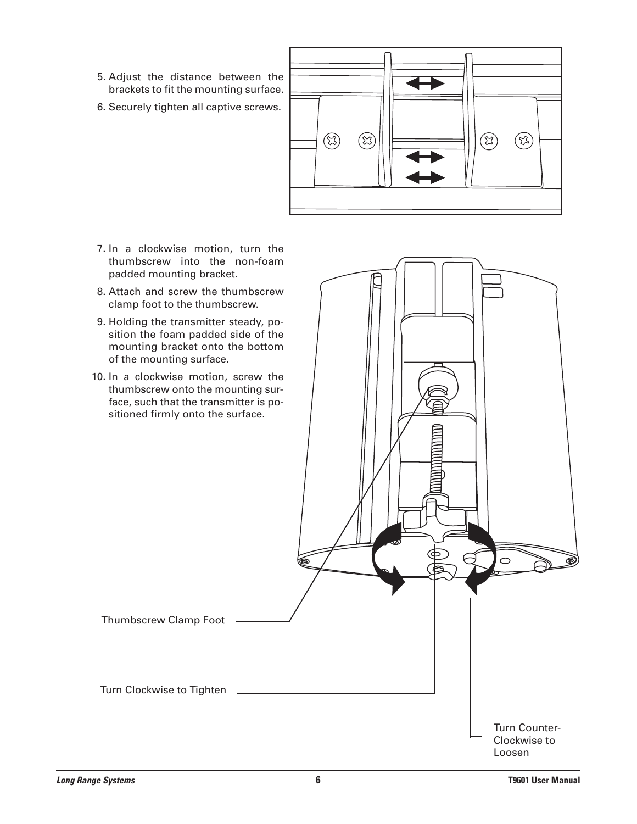- 5. Adjust the distance between the brackets to fit the mounting surface.
- 6. Securely tighten all captive screws.



- 7. In a clockwise motion, turn the thumbscrew into the non-foam padded mounting bracket.
- 8. Attach and screw the thumbscrew clamp foot to the thumbscrew.
- 9. Holding the transmitter steady, position the foam padded side of the mounting bracket onto the bottom of the mounting surface.
- 10. In a clockwise motion, screw the thumbscrew onto the mounting surface, such that the transmitter is positioned firmly onto the surface.

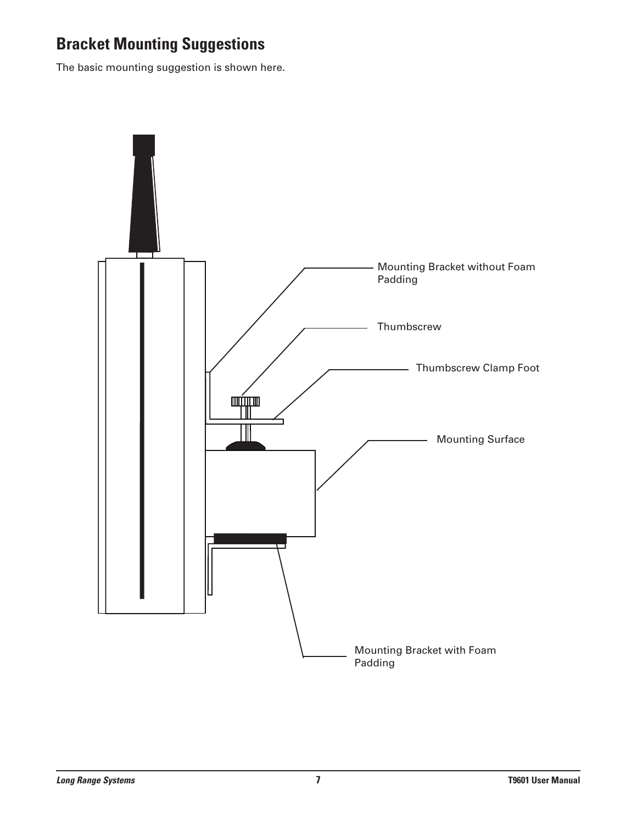## **Bracket Mounting Suggestions**

The basic mounting suggestion is shown here.

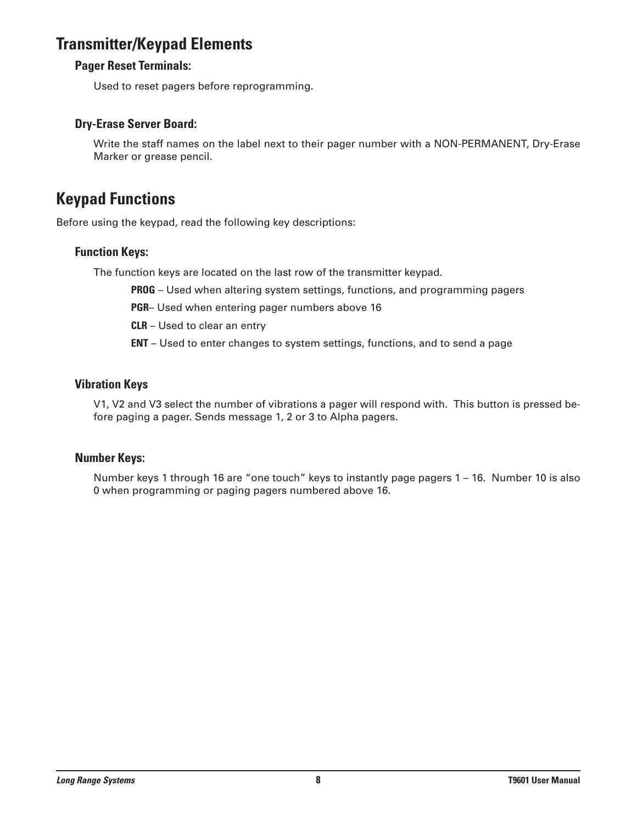## **Transmitter/Keypad Elements**

#### **Pager Reset Terminals:**

Used to reset pagers before reprogramming.

#### **Dry-Erase Server Board:**

Write the staff names on the label next to their pager number with a NON-PERMANENT, Dry-Erase Marker or grease pencil.

## **Keypad Functions**

Before using the keypad, read the following key descriptions:

#### **Function Keys:**

The function keys are located on the last row of the transmitter keypad.

**PROG** – Used when altering system settings, functions, and programming pagers

**PGR**– Used when entering pager numbers above 16

**CLR** – Used to clear an entry

**ENT** – Used to enter changes to system settings, functions, and to send a page

#### **Vibration Keys**

V1, V2 and V3 select the number of vibrations a pager will respond with. This button is pressed before paging a pager. Sends message 1, 2 or 3 to Alpha pagers.

#### **Number Keys:**

Number keys 1 through 16 are "one touch" keys to instantly page pagers 1 – 16. Number 10 is also 0 when programming or paging pagers numbered above 16.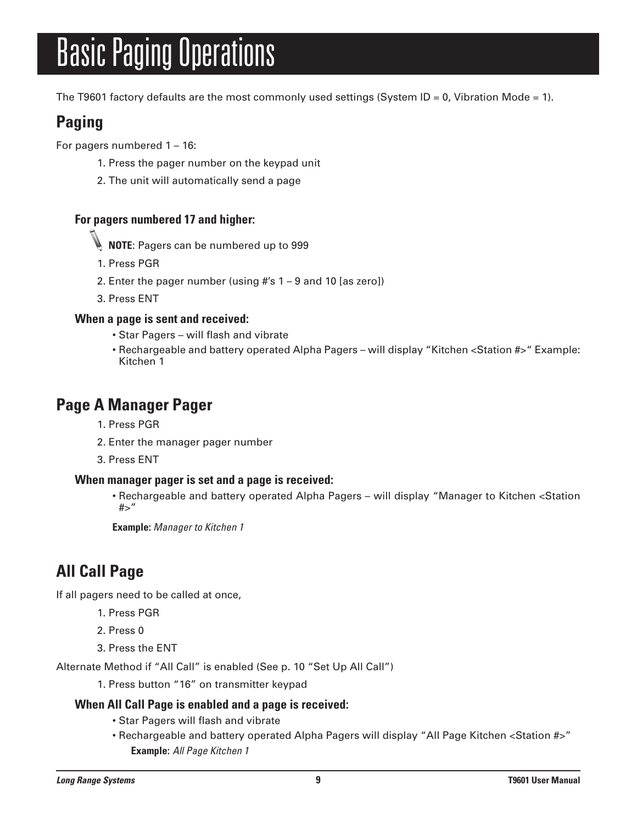# **Basic Paging Operations**

The T9601 factory defaults are the most commonly used settings (System ID = 0, Vibration Mode = 1).

## **Paging**

For pagers numbered 1 – 16:

- 1. Press the pager number on the keypad unit
- 2. The unit will automatically send a page

#### **For pagers numbered 17 and higher:**

- **NOTE**: Pagers can be numbered up to 999
- 1. Press PGR
- 2. Enter the pager number (using #'s 1 9 and 10 [as zero])
- 3. Press ENT

#### **When a page is sent and received:**

- Star Pagers will flash and vibrate
- Rechargeable and battery operated Alpha Pagers will display "Kitchen <Station #>" Example: Kitchen 1

### **Page A Manager Pager**

- 1. Press PGR
- 2. Enter the manager pager number
- 3. Press ENT

#### **When manager pager is set and a page is received:**

• Rechargeable and battery operated Alpha Pagers – will display "Manager to Kitchen <Station #>"

**Example:** *Manager to Kitchen 1*

## **All Call Page**

If all pagers need to be called at once,

- 1. Press PGR
- 2. Press 0
- 3. Press the ENT

Alternate Method if "All Call" is enabled (See p. 10 "Set Up All Call")

1. Press button "16" on transmitter keypad

#### **When All Call Page is enabled and a page is received:**

- Star Pagers will flash and vibrate
- Rechargeable and battery operated Alpha Pagers will display "All Page Kitchen < Station #>" **Example:** *All Page Kitchen 1*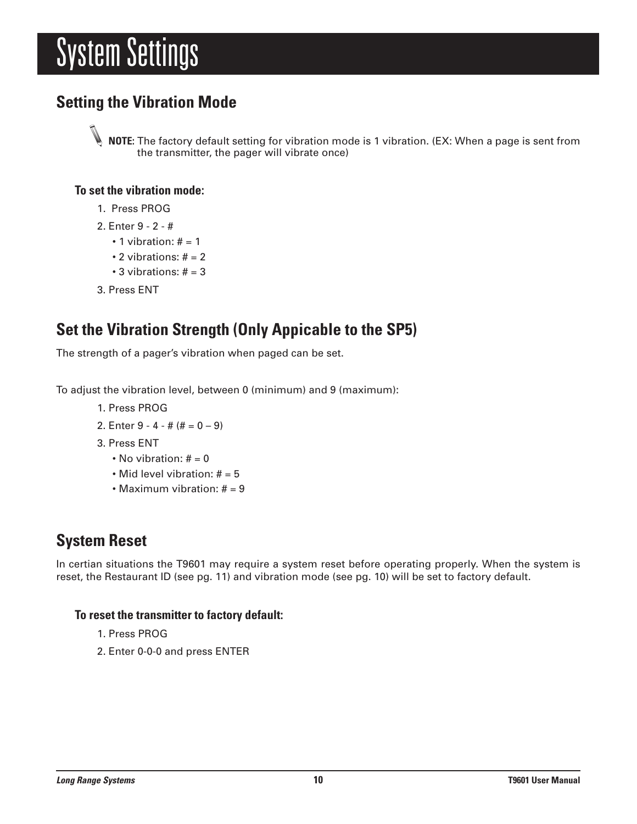## System Settings

## **Setting the Vibration Mode**

**NOTE:** The factory default setting for vibration mode is 1 vibration. (EX: When a page is sent from the transmitter, the pager will vibrate once)

#### **To set the vibration mode:**

- 1. Press PROG
- 2. Enter 9 2 #
	- $\cdot$  1 vibration:  $# = 1$
	- $\cdot$  2 vibrations:  $# = 2$
	- $\cdot$  3 vibrations:  $\# = 3$
- 3. Press ENT

## **Set the Vibration Strength (Only Appicable to the SP5)**

The strength of a pager's vibration when paged can be set.

To adjust the vibration level, between 0 (minimum) and 9 (maximum):

- 1. Press PROG
- 2. Enter  $9 4 # (# = 0 9)$
- 3. Press ENT
	- No vibration:  $# = 0$
	- Mid level vibration:  $# = 5$
	- Maximum vibration:  $# = 9$

## **System Reset**

In certian situations the T9601 may require a system reset before operating properly. When the system is reset, the Restaurant ID (see pg. 11) and vibration mode (see pg. 10) will be set to factory default.

#### **To reset the transmitter to factory default:**

- 1. Press PROG
- 2. Enter 0-0-0 and press ENTER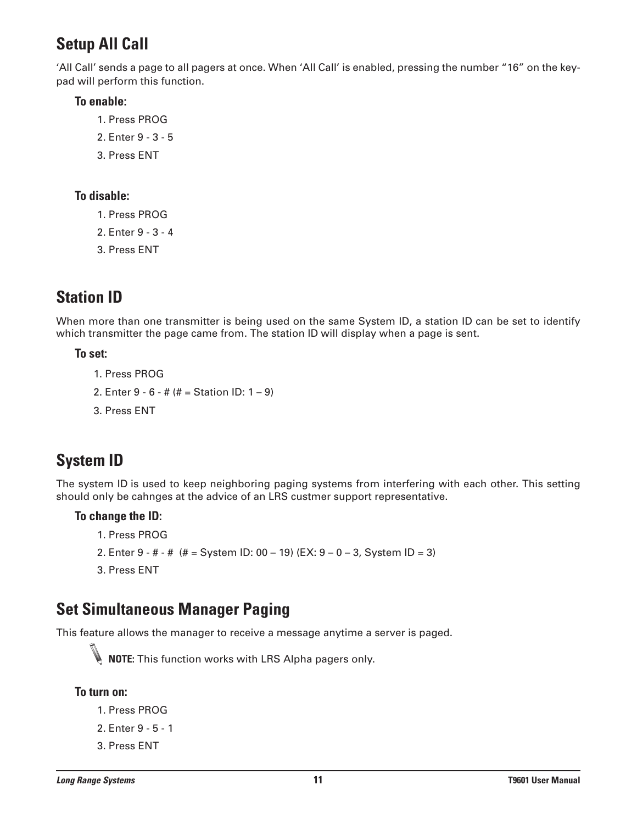## **Setup All Call**

'All Call' sends a page to all pagers at once. When 'All Call' is enabled, pressing the number "16" on the keypad will perform this function.

#### **To enable:**

- 1. Press PROG
- 2. Enter 9 3 5
- 3. Press ENT

#### **To disable:**

- 1. Press PROG
- 2. Enter 9 3 4
- 3. Press ENT

## **Station ID**

When more than one transmitter is being used on the same System ID, a station ID can be set to identify which transmitter the page came from. The station ID will display when a page is sent.

#### **To set:**

```
1. Press PROG
```
- 2. Enter 9 6 # (# = Station ID: 1 9)
- 3. Press ENT

## **System ID**

The system ID is used to keep neighboring paging systems from interfering with each other. This setting should only be cahnges at the advice of an LRS custmer support representative.

#### **To change the ID:**

- 1. Press PROG
- 2. Enter 9 # # (# = System ID: 00 19) (EX: 9 0 3, System ID = 3)
- 3. Press ENT

## **Set Simultaneous Manager Paging**

This feature allows the manager to receive a message anytime a server is paged.



**NOTE:** This function works with LRS Alpha pagers only.

#### **To turn on:**

- 1. Press PROG
- 2. Enter 9 5 1
- 3. Press ENT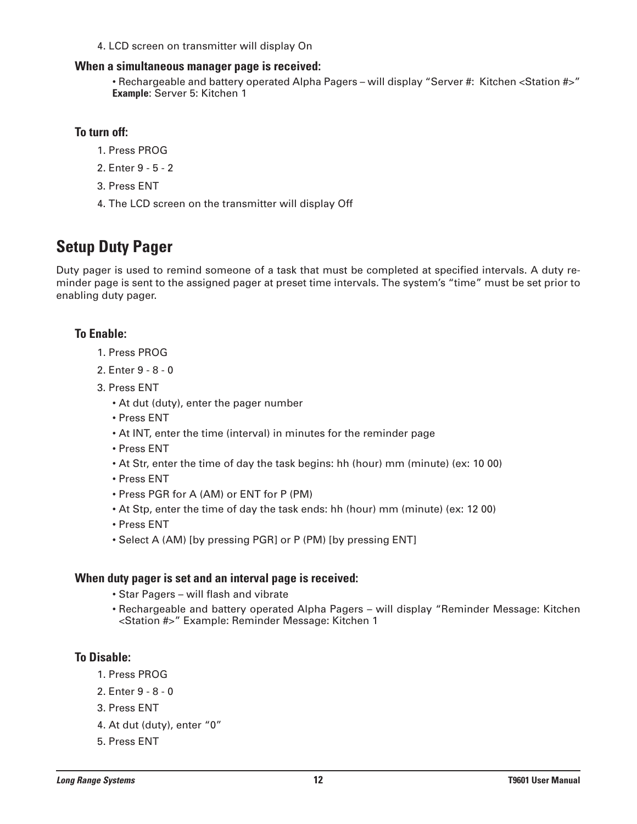4. LCD screen on transmitter will display On

#### **When a simultaneous manager page is received:**

• Rechargeable and battery operated Alpha Pagers – will display "Server #: Kitchen <Station #>" **Example**: Server 5: Kitchen 1

#### **To turn off:**

- 1. Press PROG
- 2. Enter 9 5 2
- 3. Press ENT
- 4. The LCD screen on the transmitter will display Off

### **Setup Duty Pager**

Duty pager is used to remind someone of a task that must be completed at specified intervals. A duty reminder page is sent to the assigned pager at preset time intervals. The system's "time" must be set prior to enabling duty pager.

#### **To Enable:**

- 1. Press PROG
- 2. Enter 9 8 0
- 3. Press ENT
	- At dut (duty), enter the pager number
	- Press ENT
	- At INT, enter the time (interval) in minutes for the reminder page
	- Press ENT
	- At Str, enter the time of day the task begins: hh (hour) mm (minute) (ex: 10 00)
	- Press ENT
	- Press PGR for A (AM) or ENT for P (PM)
	- At Stp, enter the time of day the task ends: hh (hour) mm (minute) (ex: 12 00)
	- Press ENT
	- Select A (AM) [by pressing PGR] or P (PM) [by pressing ENT]

#### **When duty pager is set and an interval page is received:**

- Star Pagers will flash and vibrate
- Rechargeable and battery operated Alpha Pagers will display "Reminder Message: Kitchen <Station #>" Example: Reminder Message: Kitchen 1

#### **To Disable:**

- 1. Press PROG
- 2. Enter 9 8 0
- 3. Press ENT
- 4. At dut (duty), enter "0"
- 5. Press ENT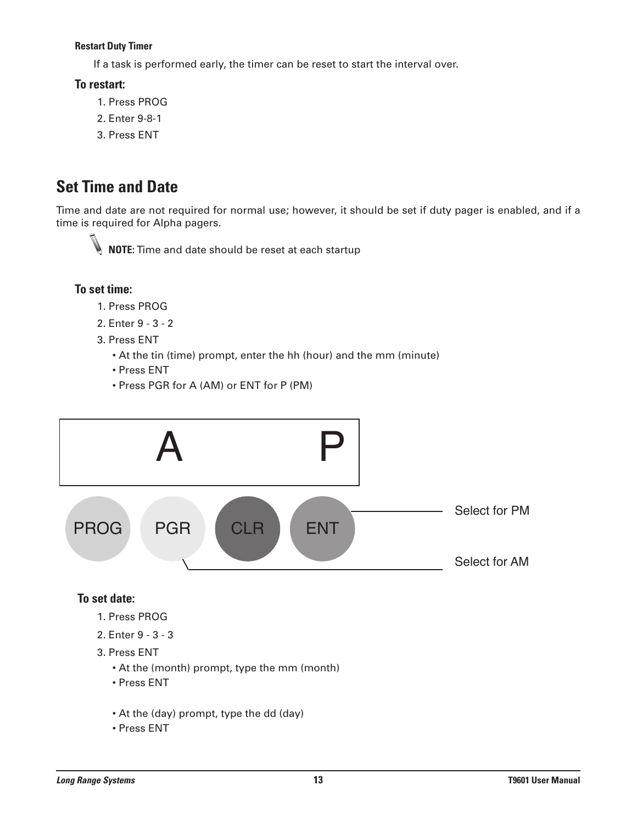#### **Restart Duty Timer**

If a task is performed early, the timer can be reset to start the interval over.

#### **To restart:**

- 1. Press PROG
- 2. Enter 9-8-1
- 3. Press ENT

## **Set Time and Date**

Time and date are not required for normal use; however, it should be set if duty pager is enabled, and if a time is required for Alpha pagers.



**NOTE:** Time and date should be reset at each startup

#### **To set time:**

- 1. Press PROG
- 2. Enter 9 3 2
- 3. Press ENT
	- At the tin (time) prompt, enter the hh (hour) and the mm (minute)
	- Press ENT
	- Press PGR for A (AM) or ENT for P (PM)



#### **To set date:**

- 1. Press PROG
- 2. Enter 9 3 3
- 3. Press ENT
	- At the (month) prompt, type the mm (month)
	- Press ENT
	- At the (day) prompt, type the dd (day)
	- Press ENT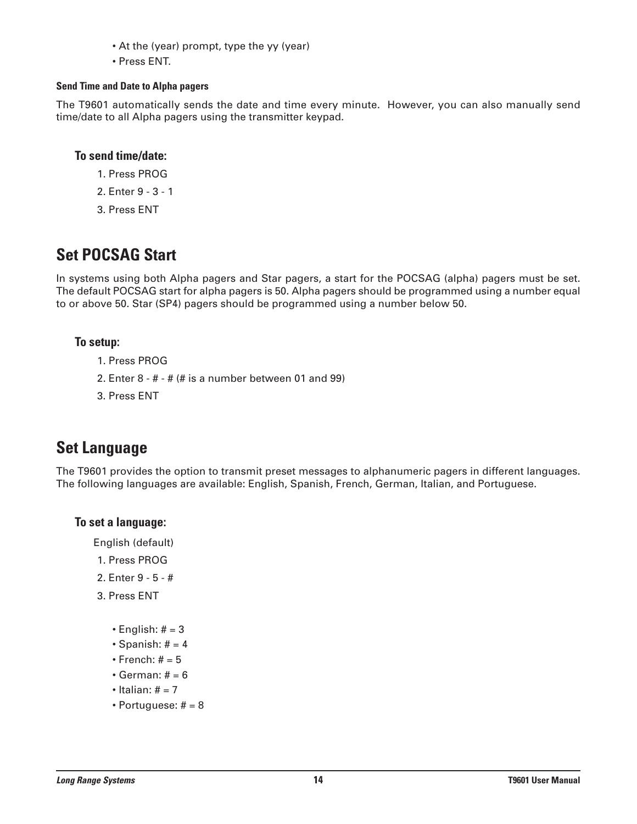- At the (year) prompt, type the yy (year)
- Press ENT.

#### **Send Time and Date to Alpha pagers**

The T9601 automatically sends the date and time every minute. However, you can also manually send time/date to all Alpha pagers using the transmitter keypad.

#### **To send time/date:**

- 1. Press PROG
- 2. Enter 9 3 1
- 3. Press ENT

## **Set POCSAG Start**

In systems using both Alpha pagers and Star pagers, a start for the POCSAG (alpha) pagers must be set. The default POCSAG start for alpha pagers is 50. Alpha pagers should be programmed using a number equal to or above 50. Star (SP4) pagers should be programmed using a number below 50.

#### **To setup:**

- 1. Press PROG
- 2. Enter  $8 # #$  (# is a number between 01 and 99)
- 3. Press ENT

### **Set Language**

The T9601 provides the option to transmit preset messages to alphanumeric pagers in different languages. The following languages are available: English, Spanish, French, German, Italian, and Portuguese.

#### **To set a language:**

English (default)

- 1. Press PROG
- 2. Enter 9 5 #
- 3. Press ENT
	- English:  $# = 3$
	- Spanish:  $# = 4$
	- $\cdot$  French:  $# = 5$
	- $\cdot$  German:  $# = 6$
	- $\bullet$  Italian:  $\# = 7$
	- Portuguese:  $# = 8$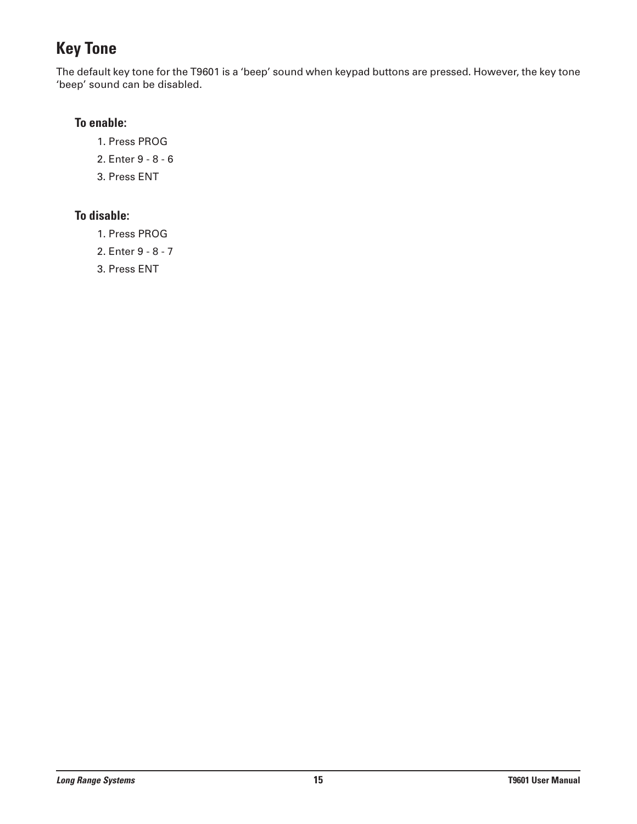## **Key Tone**

The default key tone for the T9601 is a 'beep' sound when keypad buttons are pressed. However, the key tone 'beep' sound can be disabled.

#### **To enable:**

- 1. Press PROG
- 2. Enter 9 8 6
- 3. Press ENT

#### **To disable:**

- 1. Press PROG
- 2. Enter 9 8 7
- 3. Press ENT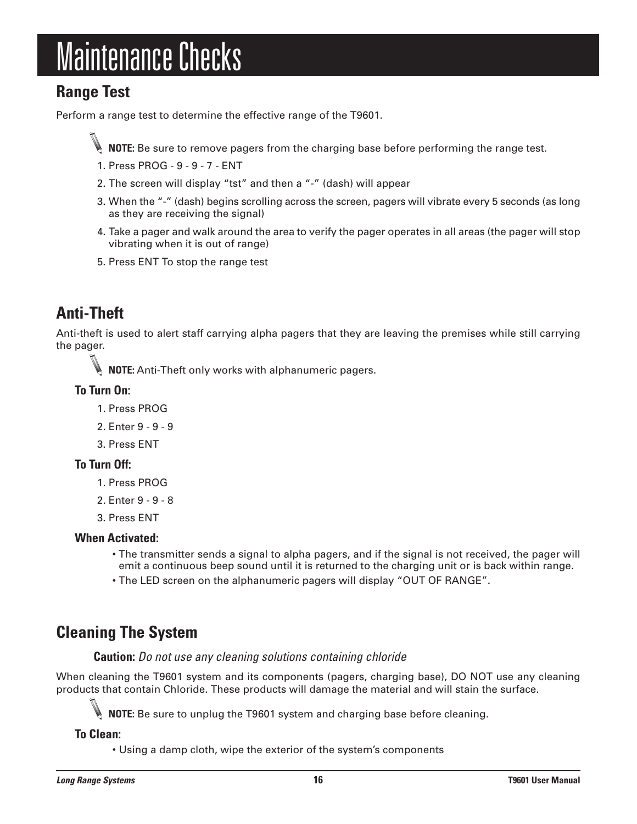## Maintenance Checks

## **Range Test**

Perform a range test to determine the effective range of the T9601.

**NOTE:** Be sure to remove pagers from the charging base before performing the range test.

- 1. Press PROG 9 9 7 ENT
- 2. The screen will display "tst" and then a "-" (dash) will appear
- 3. When the "-" (dash) begins scrolling across the screen, pagers will vibrate every 5 seconds (as long as they are receiving the signal)
- 4. Take a pager and walk around the area to verify the pager operates in all areas (the pager will stop vibrating when it is out of range)
- 5. Press ENT To stop the range test

## **Anti-Theft**

Anti-theft is used to alert staff carrying alpha pagers that they are leaving the premises while still carrying the pager.

**NOTE:** Anti-Theft only works with alphanumeric pagers.

#### **To Turn On:**

- 1. Press PROG
- 2. Enter 9 9 9
- 3. Press ENT

#### **To Turn Off:**

- 1. Press PROG
- 2. Enter 9 9 8
- 3. Press ENT

#### **When Activated:**

- The transmitter sends a signal to alpha pagers, and if the signal is not received, the pager will emit a continuous beep sound until it is returned to the charging unit or is back within range.
- The LED screen on the alphanumeric pagers will display "OUT OF RANGE".

## **Cleaning The System**

#### **Caution:** *Do not use any cleaning solutions containing chloride*

When cleaning the T9601 system and its components (pagers, charging base), DO NOT use any cleaning products that contain Chloride. These products will damage the material and will stain the surface.

**NOTE:** Be sure to unplug the T9601 system and charging base before cleaning.

**To Clean:**

• Using a damp cloth, wipe the exterior of the system's components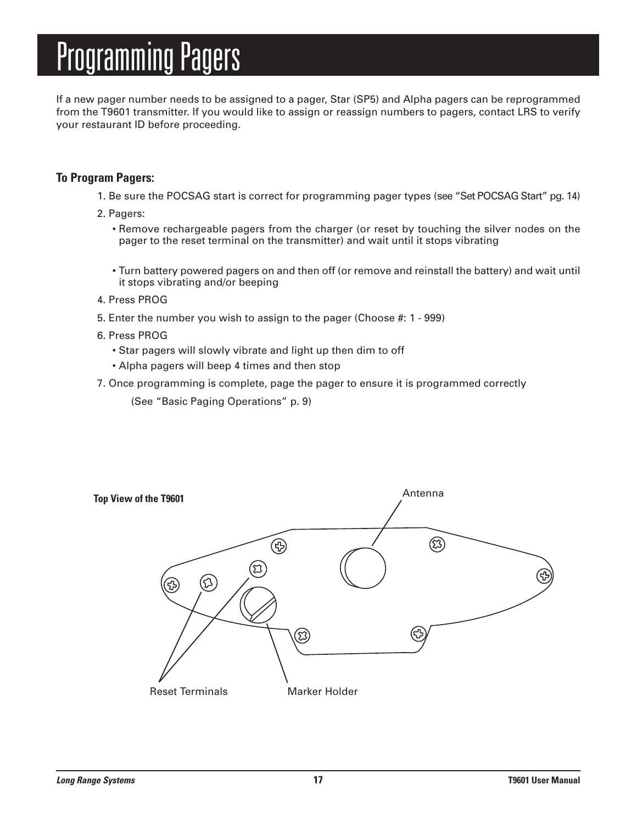## **Programming Pagers**

If a new pager number needs to be assigned to a pager, Star (SP5) and Alpha pagers can be reprogrammed from the T9601 transmitter. If you would like to assign or reassign numbers to pagers, contact LRS to verify your restaurant ID before proceeding.

#### **To Program Pagers:**

- 1. Be sure the POCSAG start is correct for programming pager types (see "Set POCSAG Start" pg. 14)
- 2. Pagers:
	- Remove rechargeable pagers from the charger (or reset by touching the silver nodes on the pager to the reset terminal on the transmitter) and wait until it stops vibrating
	- Turn battery powered pagers on and then off (or remove and reinstall the battery) and wait until it stops vibrating and/or beeping
- 4. Press PROG
- 5. Enter the number you wish to assign to the pager (Choose #: 1 999)
- 6. Press PROG
	- Star pagers will slowly vibrate and light up then dim to off
	- Alpha pagers will beep 4 times and then stop
- 7. Once programming is complete, page the pager to ensure it is programmed correctly

(See "Basic Paging Operations" p. 9)

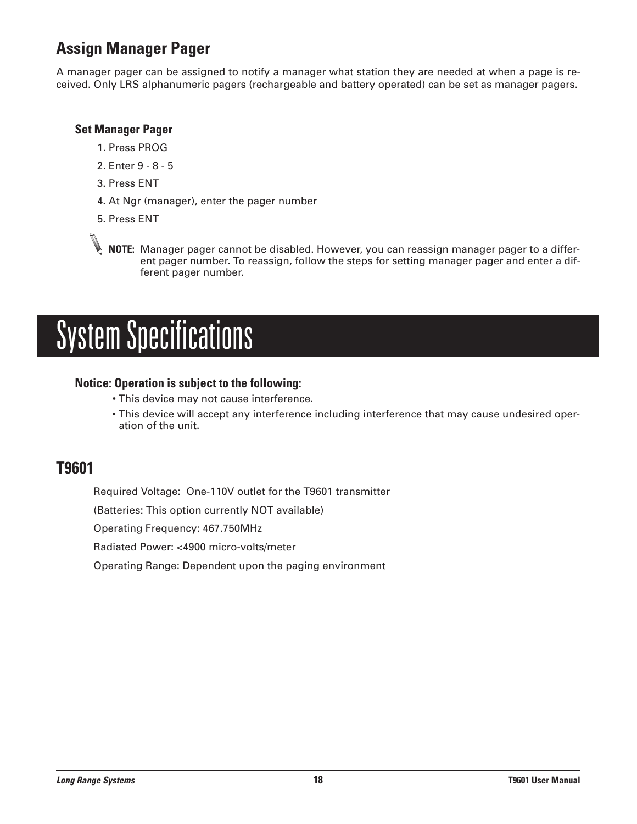## **Assign Manager Pager**

A manager pager can be assigned to notify a manager what station they are needed at when a page is received. Only LRS alphanumeric pagers (rechargeable and battery operated) can be set as manager pagers.

#### **Set Manager Pager**

- 1. Press PROG
- 2. Enter 9 8 5
- 3. Press ENT
- 4. At Ngr (manager), enter the pager number
- 5. Press ENT

**NOTE:** Manager pager cannot be disabled. However, you can reassign manager pager to a different pager number. To reassign, follow the steps for setting manager pager and enter a different pager number.

## System Specifications

#### **Notice: Operation is subject to the following:**

- This device may not cause interference.
- This device will accept any interference including interference that may cause undesired operation of the unit.

### **T9601**

Required Voltage: One-110V outlet for the T9601 transmitter

(Batteries: This option currently NOT available)

Operating Frequency: 467.750MHz

Radiated Power: <4900 micro-volts/meter

Operating Range: Dependent upon the paging environment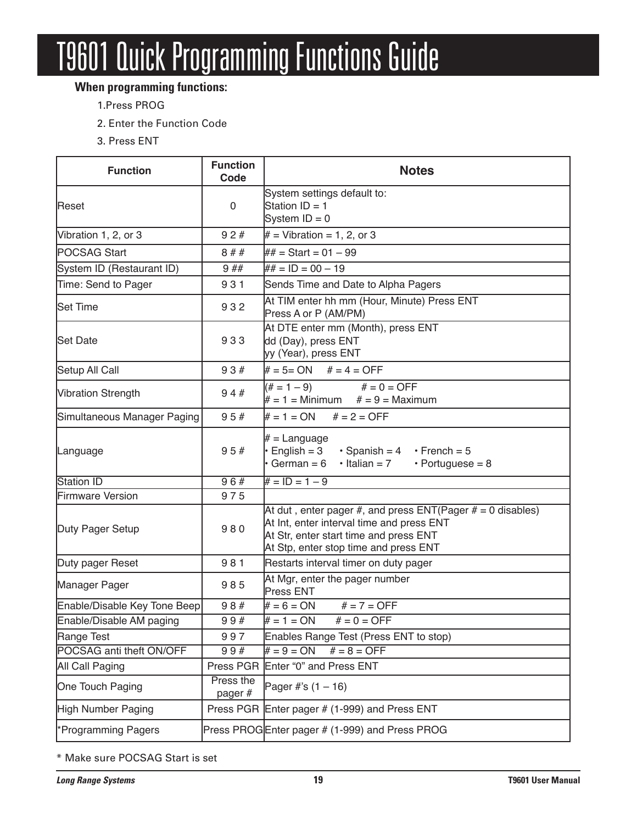# **T9601 Quick Programming Functions Guide**

### **When programming functions:**

- 1.Press PROG
- 2. Enter the Function Code
- 3. Press ENT

| <b>Function</b>              | <b>Function</b><br>Code | <b>Notes</b>                                                                                                                                                                                 |  |  |  |  |  |  |
|------------------------------|-------------------------|----------------------------------------------------------------------------------------------------------------------------------------------------------------------------------------------|--|--|--|--|--|--|
| Reset                        | 0                       | System settings default to:<br>Station $ID = 1$<br>System $ID = 0$                                                                                                                           |  |  |  |  |  |  |
| Vibration 1, 2, or 3         | 92#                     | $#$ = Vibration = 1, 2, or 3                                                                                                                                                                 |  |  |  |  |  |  |
| POCSAG Start                 | 8##                     | ## = Start = 01 - 99                                                                                                                                                                         |  |  |  |  |  |  |
| System ID (Restaurant ID)    | 9##                     | $\# \# = ID = 00 - 19$                                                                                                                                                                       |  |  |  |  |  |  |
| Time: Send to Pager          | 931                     | Sends Time and Date to Alpha Pagers                                                                                                                                                          |  |  |  |  |  |  |
| <b>Set Time</b>              | 932                     | At TIM enter hh mm (Hour, Minute) Press ENT<br>Press A or P (AM/PM)                                                                                                                          |  |  |  |  |  |  |
| <b>Set Date</b>              | 933                     | At DTE enter mm (Month), press ENT<br>dd (Day), press ENT<br>yy (Year), press ENT                                                                                                            |  |  |  |  |  |  |
| Setup All Call               | 93#                     | $# = 5 = ON$ $# = 4 = OFF$                                                                                                                                                                   |  |  |  |  |  |  |
| <b>Vibration Strength</b>    | 94#                     | $# = 0 = OFF$<br>$(\# = 1 - 9)$<br>$# = 1 =$ Minimum $# = 9 =$ Maximum                                                                                                                       |  |  |  |  |  |  |
| Simultaneous Manager Paging  | 95#                     | $# = 1 = ON$ $# = 2 = OFF$                                                                                                                                                                   |  |  |  |  |  |  |
| Language                     | 95#                     | $# =$ Language<br>$\cdot$ English = 3<br>$\cdot$ Spanish = 4 $\cdot$ French = 5<br>$\cdot$ German = 6<br>$\cdot$ Italian = 7<br>$\cdot$ Portuguese = 8                                       |  |  |  |  |  |  |
| <b>Station ID</b>            | 96#                     | $# = ID = 1 - 9$                                                                                                                                                                             |  |  |  |  |  |  |
| Firmware Version             | 975                     |                                                                                                                                                                                              |  |  |  |  |  |  |
| Duty Pager Setup             | 980                     | At dut, enter pager #, and press $ENT(Pager # = 0$ disables)<br>At Int, enter interval time and press ENT<br>At Str, enter start time and press ENT<br>At Stp, enter stop time and press ENT |  |  |  |  |  |  |
| Duty pager Reset             | 981                     | Restarts interval timer on duty pager                                                                                                                                                        |  |  |  |  |  |  |
| Manager Pager                | 985                     | At Mgr, enter the pager number<br>Press ENT                                                                                                                                                  |  |  |  |  |  |  |
| Enable/Disable Key Tone Beep | 98#                     | $# = 6 = ON$<br>$# = 7 = OFF$                                                                                                                                                                |  |  |  |  |  |  |
| Enable/Disable AM paging     | 99#                     | $# = 1 = ON$<br>$# = 0 = OFF$                                                                                                                                                                |  |  |  |  |  |  |
| Range Test                   | 997                     | Enables Range Test (Press ENT to stop)                                                                                                                                                       |  |  |  |  |  |  |
| POCSAG anti theft ON/OFF     | 99#                     | $# = 8 = OFF$<br>$# = 9 = ON$                                                                                                                                                                |  |  |  |  |  |  |
| All Call Paging              |                         | Press PGR Enter "0" and Press ENT                                                                                                                                                            |  |  |  |  |  |  |
| One Touch Paging             | Press the<br>pager #    | Pager #'s $(1 - 16)$                                                                                                                                                                         |  |  |  |  |  |  |
| High Number Paging           |                         | Press PGR Enter pager # (1-999) and Press ENT                                                                                                                                                |  |  |  |  |  |  |
| *Programming Pagers          |                         | Press PROGEnter pager # (1-999) and Press PROG                                                                                                                                               |  |  |  |  |  |  |

\* Make sure POCSAG Start is set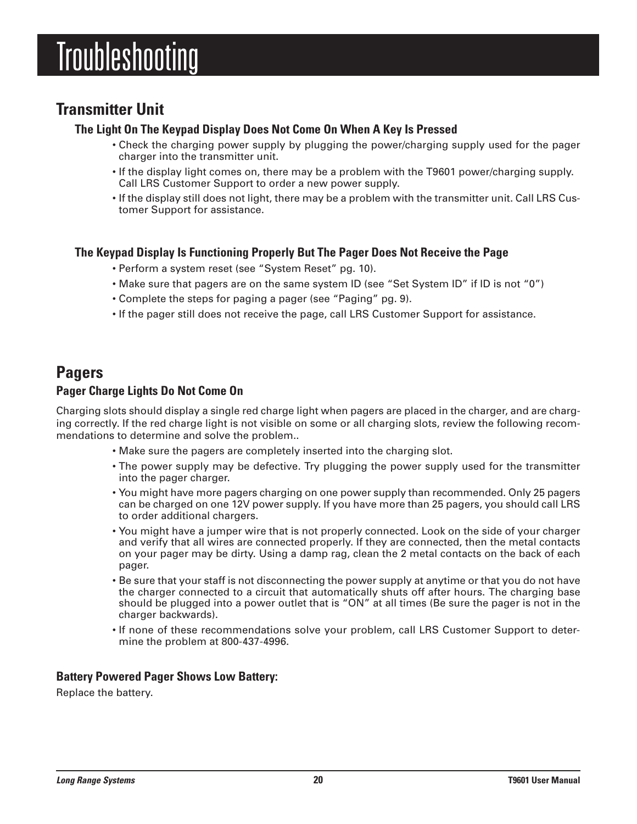## **Troubleshooting**

## **Transmitter Unit**

#### **The Light On The Keypad Display Does Not Come On When A Key Is Pressed**

- Check the charging power supply by plugging the power/charging supply used for the pager charger into the transmitter unit.
- If the display light comes on, there may be a problem with the T9601 power/charging supply. Call LRS Customer Support to order a new power supply.
- If the display still does not light, there may be a problem with the transmitter unit. Call LRS Customer Support for assistance.

#### **The Keypad Display Is Functioning Properly But The Pager Does Not Receive the Page**

- Perform a system reset (see "System Reset" pg. 10).
- Make sure that pagers are on the same system ID (see "Set System ID" if ID is not "0")
- Complete the steps for paging a pager (see "Paging" pg. 9).
- If the pager still does not receive the page, call LRS Customer Support for assistance.

#### **Pagers Pager Charge Lights Do Not Come On**

Charging slots should display a single red charge light when pagers are placed in the charger, and are charging correctly. If the red charge light is not visible on some or all charging slots, review the following recommendations to determine and solve the problem..

- Make sure the pagers are completely inserted into the charging slot.
- The power supply may be defective. Try plugging the power supply used for the transmitter into the pager charger.
- You might have more pagers charging on one power supply than recommended. Only 25 pagers can be charged on one 12V power supply. If you have more than 25 pagers, you should call LRS to order additional chargers.
- You might have a jumper wire that is not properly connected. Look on the side of your charger and verify that all wires are connected properly. If they are connected, then the metal contacts on your pager may be dirty. Using a damp rag, clean the 2 metal contacts on the back of each pager.
- Be sure that your staff is not disconnecting the power supply at anytime or that you do not have the charger connected to a circuit that automatically shuts off after hours. The charging base should be plugged into a power outlet that is "ON" at all times (Be sure the pager is not in the charger backwards).
- If none of these recommendations solve your problem, call LRS Customer Support to determine the problem at 800-437-4996.

#### **Battery Powered Pager Shows Low Battery:**

Replace the battery.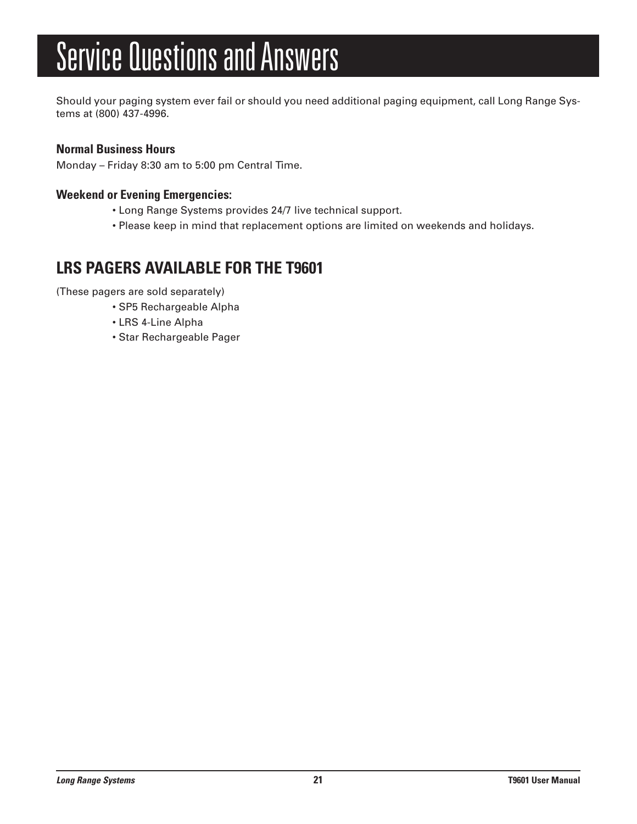# Service Questions and Answers

Should your paging system ever fail or should you need additional paging equipment, call Long Range Systems at (800) 437-4996.

#### **Normal Business Hours**

Monday – Friday 8:30 am to 5:00 pm Central Time.

#### **Weekend or Evening Emergencies:**

- Long Range Systems provides 24/7 live technical support.
- Please keep in mind that replacement options are limited on weekends and holidays.

## **LRS PAGERS AVAILABLE FOR THE T9601**

(These pagers are sold separately)

- SP5 Rechargeable Alpha
- LRS 4-Line Alpha
- Star Rechargeable Pager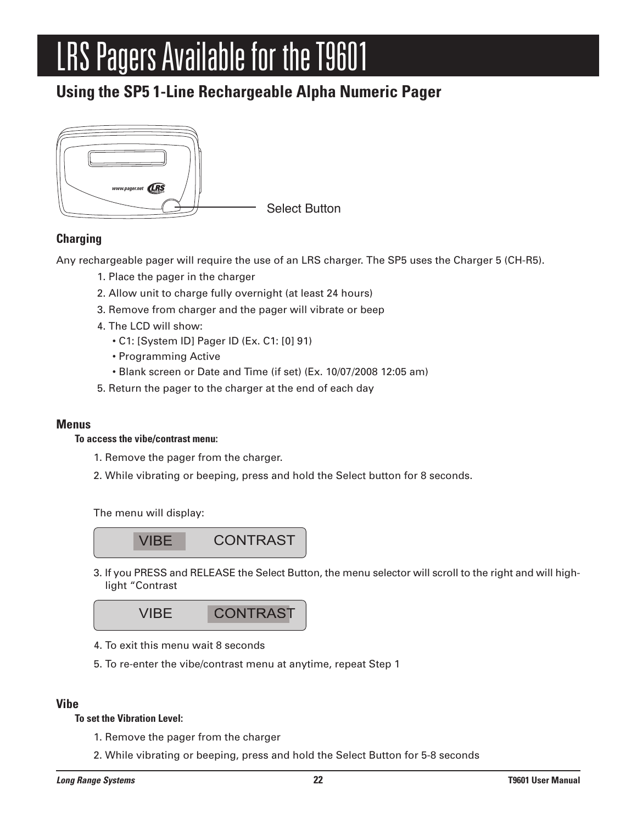# LRS Pagers Available for the T9601

## **Using the SP5 1-Line Rechargeable Alpha Numeric Pager**



#### **Charging**

Any rechargeable pager will require the use of an LRS charger. The SP5 uses the Charger 5 (CH-R5).

- 1. Place the pager in the charger
- 2. Allow unit to charge fully overnight (at least 24 hours)
- 3. Remove from charger and the pager will vibrate or beep
- 4. The LCD will show:
	- C1: [System ID] Pager ID (Ex. C1: [0] 91)
	- Programming Active
	- Blank screen or Date and Time (if set) (Ex. 10/07/2008 12:05 am)
- 5. Return the pager to the charger at the end of each day

#### **Menus**

#### **To access the vibe/contrast menu:**

- 1. Remove the pager from the charger.
- 2. While vibrating or beeping, press and hold the Select button for 8 seconds.

The menu will display:



3. If you PRESS and RELEASE the Select Button, the menu selector will scroll to the right and will highlight "Contrast



- 4. To exit this menu wait 8 seconds
- 5. To re-enter the vibe/contrast menu at anytime, repeat Step 1

#### **Vibe**

#### **To set the Vibration Level:**

- 1. Remove the pager from the charger
- 2. While vibrating or beeping, press and hold the Select Button for 5-8 seconds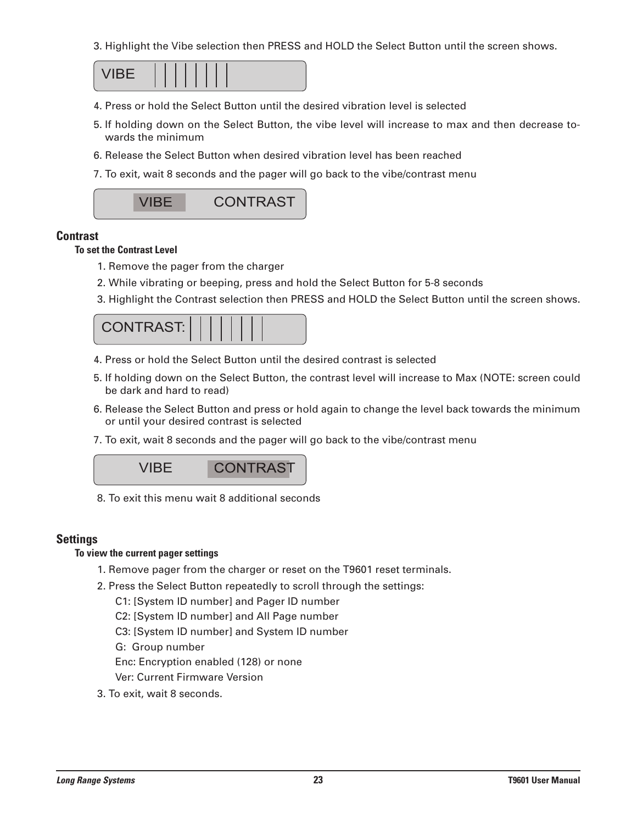3. Highlight the Vibe selection then PRESS and HOLD the Select Button until the screen shows.



- 4. Press or hold the Select Button until the desired vibration level is selected
- 5. If holding down on the Select Button, the vibe level will increase to max and then decrease towards the minimum
- 6. Release the Select Button when desired vibration level has been reached
- 7. To exit, wait 8 seconds and the pager will go back to the vibe/contrast menu



#### **Contrast**

#### **To set the Contrast Level**

- 1. Remove the pager from the charger
- 2. While vibrating or beeping, press and hold the Select Button for 5-8 seconds
- 3. Highlight the Contrast selection then PRESS and HOLD the Select Button until the screen shows.

| <b>CONTRAST:</b> |  |  |  |  |  |  |  |  |  |
|------------------|--|--|--|--|--|--|--|--|--|
|------------------|--|--|--|--|--|--|--|--|--|

- 4. Press or hold the Select Button until the desired contrast is selected
- 5. If holding down on the Select Button, the contrast level will increase to Max (NOTE: screen could be dark and hard to read)
- 6. Release the Select Button and press or hold again to change the level back towards the minimum or until your desired contrast is selected
- 7. To exit, wait 8 seconds and the pager will go back to the vibe/contrast menu



8. To exit this menu wait 8 additional seconds

#### **Settings**

#### **To view the current pager settings**

- 1. Remove pager from the charger or reset on the T9601 reset terminals.
- 2. Press the Select Button repeatedly to scroll through the settings:
	- C1: [System ID number] and Pager ID number
	- C2: [System ID number] and All Page number
	- C3: [System ID number] and System ID number
	- G: Group number

Enc: Encryption enabled (128) or none

Ver: Current Firmware Version

3. To exit, wait 8 seconds.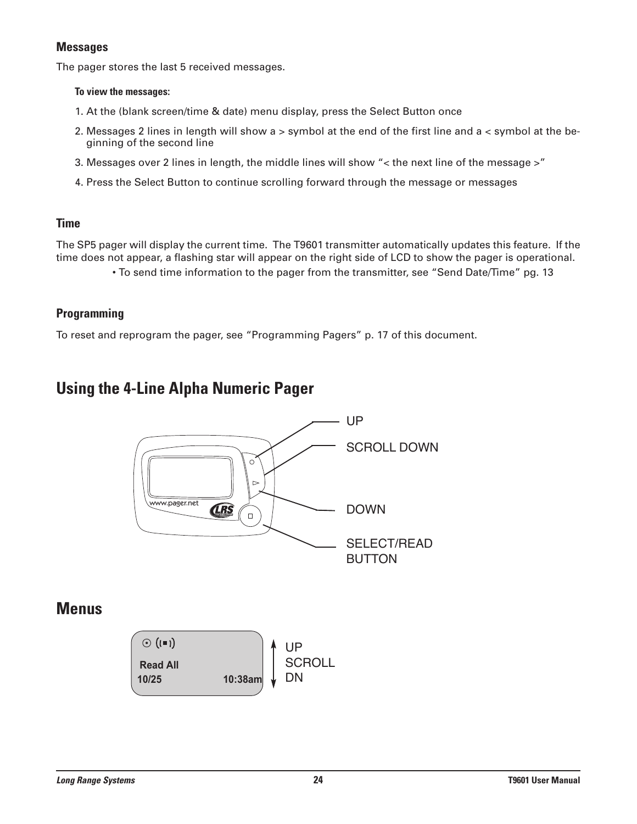#### **Messages**

The pager stores the last 5 received messages.

#### **To view the messages:**

- 1. At the (blank screen/time & date) menu display, press the Select Button once
- 2. Messages 2 lines in length will show a > symbol at the end of the first line and a < symbol at the beginning of the second line
- 3. Messages over 2 lines in length, the middle lines will show "< the next line of the message >"
- 4. Press the Select Button to continue scrolling forward through the message or messages

#### **Time**

The SP5 pager will display the current time. The T9601 transmitter automatically updates this feature. If the time does not appear, a flashing star will appear on the right side of LCD to show the pager is operational.

• To send time information to the pager from the transmitter, see "Send Date/Time" pg. 13

#### **Programming**

To reset and reprogram the pager, see "Programming Pagers" p. 17 of this document.

### **Using the 4-Line Alpha Numeric Pager**



### **Menus**

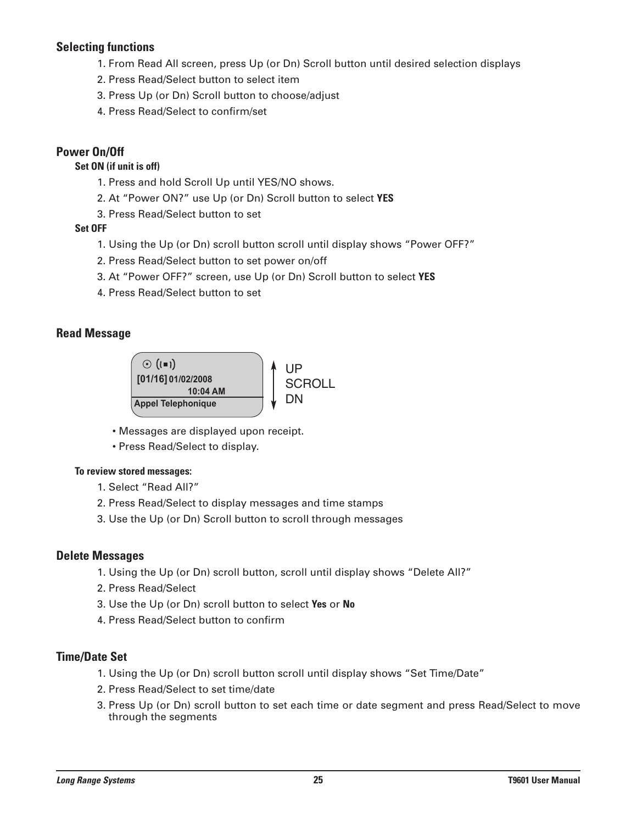#### **Selecting functions**

- 1. From Read All screen, press Up (or Dn) Scroll button until desired selection displays
- 2. Press Read/Select button to select item
- 3. Press Up (or Dn) Scroll button to choose/adjust
- 4. Press Read/Select to confirm/set

#### **Power On/Off**

#### **Set ON (if unit is off)**

- 1. Press and hold Scroll Up until YES/NO shows.
- 2. At "Power ON?" use Up (or Dn) Scroll button to select **YES**
- 3. Press Read/Select button to set

#### **Set OFF**

- 1. Using the Up (or Dn) scroll button scroll until display shows "Power OFF?"
- 2. Press Read/Select button to set power on/off
- 3. At "Power OFF?" screen, use Up (or Dn) Scroll button to select **YES**
- 4. Press Read/Select button to set

#### **Read Message**



- Messages are displayed upon receipt.
- Press Read/Select to display.

#### **To review stored messages:**

- 1. Select "Read All?"
- 2. Press Read/Select to display messages and time stamps
- 3. Use the Up (or Dn) Scroll button to scroll through messages

#### **Delete Messages**

- 1. Using the Up (or Dn) scroll button, scroll until display shows "Delete All?"
- 2. Press Read/Select
- 3. Use the Up (or Dn) scroll button to select **Yes** or **No**
- 4. Press Read/Select button to confirm

#### **Time/Date Set**

- 1. Using the Up (or Dn) scroll button scroll until display shows "Set Time/Date"
- 2. Press Read/Select to set time/date
- 3. Press Up (or Dn) scroll button to set each time or date segment and press Read/Select to move through the segments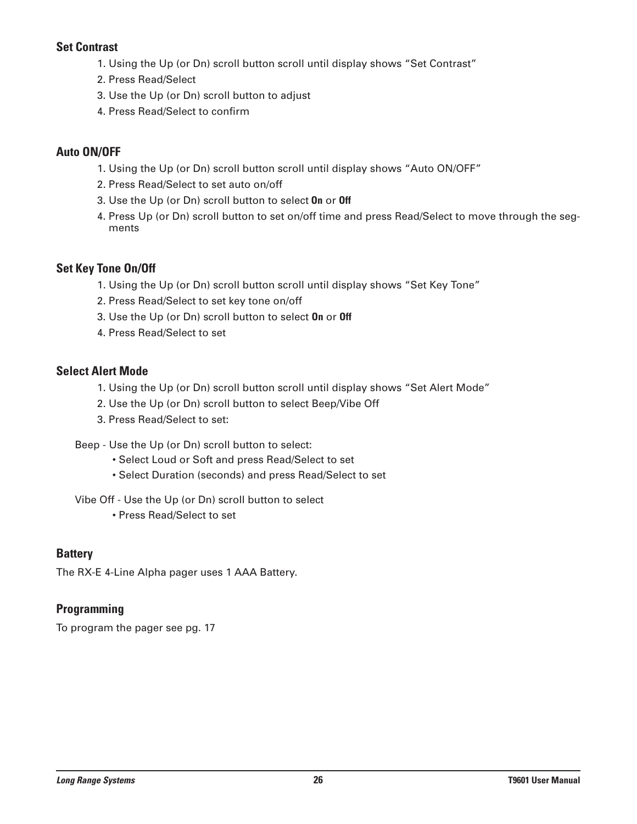#### **Set Contrast**

- 1. Using the Up (or Dn) scroll button scroll until display shows "Set Contrast"
- 2. Press Read/Select
- 3. Use the Up (or Dn) scroll button to adjust
- 4. Press Read/Select to confirm

#### **Auto ON/OFF**

- 1. Using the Up (or Dn) scroll button scroll until display shows "Auto ON/OFF"
- 2. Press Read/Select to set auto on/off
- 3. Use the Up (or Dn) scroll button to select **On** or **Off**
- 4. Press Up (or Dn) scroll button to set on/off time and press Read/Select to move through the segments

#### **Set Key Tone On/Off**

- 1. Using the Up (or Dn) scroll button scroll until display shows "Set Key Tone"
- 2. Press Read/Select to set key tone on/off
- 3. Use the Up (or Dn) scroll button to select **On** or **Off**
- 4. Press Read/Select to set

#### **Select Alert Mode**

- 1. Using the Up (or Dn) scroll button scroll until display shows "Set Alert Mode"
- 2. Use the Up (or Dn) scroll button to select Beep/Vibe Off
- 3. Press Read/Select to set:
- Beep Use the Up (or Dn) scroll button to select:
	- Select Loud or Soft and press Read/Select to set
	- Select Duration (seconds) and press Read/Select to set
- Vibe Off Use the Up (or Dn) scroll button to select
	- Press Read/Select to set

#### **Battery**

The RX-E 4-Line Alpha pager uses 1 AAA Battery.

#### **Programming**

To program the pager see pg. 17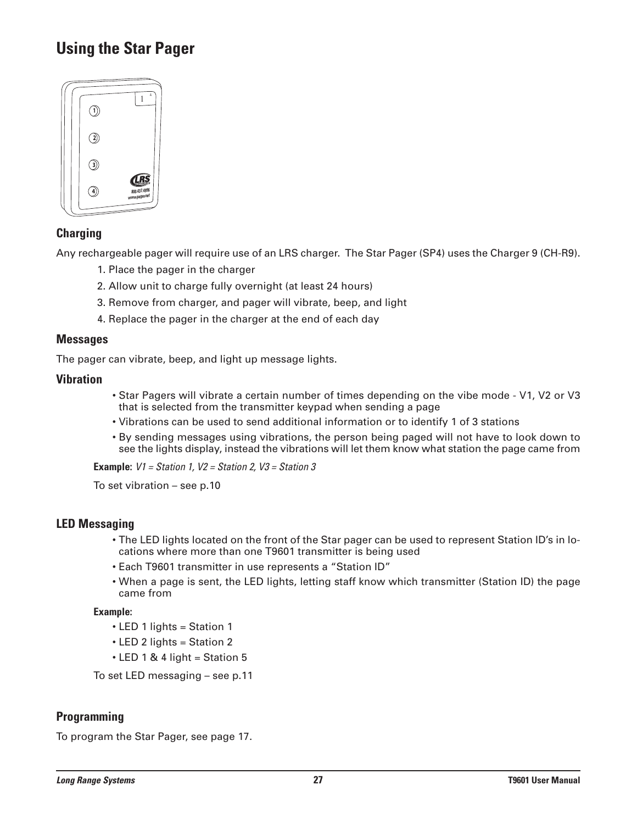## **Using the Star Pager**



#### **Charging**

Any rechargeable pager will require use of an LRS charger. The Star Pager (SP4) uses the Charger 9 (CH-R9).

- 1. Place the pager in the charger
- 2. Allow unit to charge fully overnight (at least 24 hours)
- 3. Remove from charger, and pager will vibrate, beep, and light
- 4. Replace the pager in the charger at the end of each day

#### **Messages**

The pager can vibrate, beep, and light up message lights.

#### **Vibration**

- Star Pagers will vibrate a certain number of times depending on the vibe mode V1, V2 or V3 that is selected from the transmitter keypad when sending a page
- Vibrations can be used to send additional information or to identify 1 of 3 stations
- By sending messages using vibrations, the person being paged will not have to look down to see the lights display, instead the vibrations will let them know what station the page came from

**Example:** *V1 = Station 1, V2 = Station 2, V3 = Station 3*

To set vibration – see p.10

#### **LED Messaging**

- The LED lights located on the front of the Star pager can be used to represent Station ID's in locations where more than one T9601 transmitter is being used
- Each T9601 transmitter in use represents a "Station ID"
- When a page is sent, the LED lights, letting staff know which transmitter (Station ID) the page came from

#### **Example:**

- LED 1 lights = Station 1
- LED 2 lights = Station 2
- $\cdot$  LED 1 & 4 light = Station 5

To set LED messaging – see p.11

#### **Programming**

To program the Star Pager, see page 17.